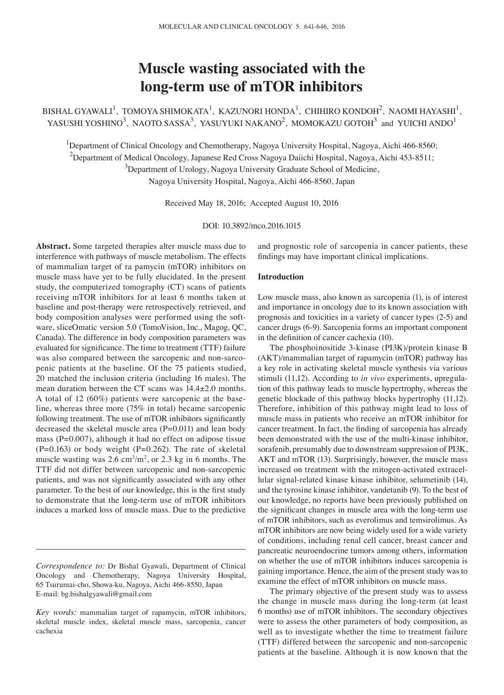# **Muscle wasting associated with the long-term use of mTOR inhibitors**

BISHAL GYAWALI<sup>1</sup>, TOMOYA SHIMOKATA<sup>1</sup>, KAZUNORI HONDA<sup>1</sup>, CHIHIRO KONDOH<sup>2</sup>, NAOMI HAYASHI<sup>1</sup>, YASUSHI YOSHINO<sup>3</sup>, NAOTO SASSA<sup>3</sup>, YASUYUKI NAKANO<sup>2</sup>, MOMOKAZU GOTOH<sup>3</sup> and YUICHI ANDO<sup>1</sup>

<sup>1</sup>Department of Clinical Oncology and Chemotherapy, Nagoya University Hospital, Nagoya, Aichi 466-8560;  $^2$ Department of Medical Oncology, Japanese Red Cross Nagoya Daiichi Hospital, Nagoya, Aichi 453-8511;  $3$ Department of Urology, Nagoya University Graduate School of Medicine, Nagoya University Hospital, Nagoya, Aichi 466-8560, Japan

Received May 18, 2016; Accepted August 10, 2016

DOI: 10.3892/mco.2016.1015

**Abstract.** Some targeted therapies alter muscle mass due to interference with pathways of muscle metabolism. The effects of mammalian target of ra pamycin (mTOR) inhibitors on muscle mass have yet to be fully elucidated. In the present study, the computerized tomography (CT) scans of patients receiving mTOR inhibitors for at least 6 months taken at baseline and post-therapy were retrospectively retrieved, and body composition analyses were performed using the software, sliceOmatic version 5.0 (TomoVision, Inc., Magog, QC, Canada). The difference in body composition parameters was evaluated for significance. The time to treatment (TTF) failure was also compared between the sarcopenic and non-sarcopenic patients at the baseline. Of the 75 patients studied, 20 matched the inclusion criteria (including 16 males). The mean duration between the CT scans was 14.4±2.0 months. A total of 12 (60%) patients were sarcopenic at the baseline, whereas three more (75% in total) became sarcopenic following treatment. The use of mTOR inhibitors significantly decreased the skeletal muscle area (P=0.011) and lean body mass ( $P=0.007$ ), although it had no effect on adipose tissue  $(P=0.163)$  or body weight  $(P=0.262)$ . The rate of skeletal muscle wasting was  $2.6 \text{ cm}^2/\text{m}^2$ , or  $2.3 \text{ kg}$  in 6 months. The TTF did not differ between sarcopenic and non‑sarcopenic patients, and was not significantly associated with any other parameter. To the best of our knowledge, this is the first study to demonstrate that the long-term use of mTOR inhibitors induces a marked loss of muscle mass. Due to the predictive

and prognostic role of sarcopenia in cancer patients, these findings may have important clinical implications.

# **Introduction**

Low muscle mass, also known as sarcopenia (1), is of interest and importance in oncology due to its known association with prognosis and toxicities in a variety of cancer types (2-5) and cancer drugs (6-9). Sarcopenia forms an important component in the definition of cancer cachexia (10).

The phosphoinositide 3-kinase (PI3K)/protein kinase B (AKT)/mammalian target of rapamycin (mTOR) pathway has a key role in activating skeletal muscle synthesis via various stimuli (11,12). According to *in vivo* experiments, upregulation of this pathway leads to muscle hypertrophy, whereas the genetic blockade of this pathway blocks hypertrophy (11,12). Therefore, inhibition of this pathway might lead to loss of muscle mass in patients who receive an mTOR inhibitor for cancer treatment. In fact, the finding of sarcopenia has already been demonstrated with the use of the multi-kinase inhibitor, sorafenib, presumably due to downstream suppression of PI3K, AKT and mTOR (13). Surprisingly, however, the muscle mass increased on treatment with the mitogen-activated extracellular signal-related kinase kinase inhibitor, selumetinib (14), and the tyrosine kinase inhibitor, vandetanib (9). To the best of our knowledge, no reports have been previously published on the significant changes in muscle area with the long‑term use of mTOR inhibitors, such as everolimus and temsirolimus. As mTOR inhibitors are now being widely used for a wide variety of conditions, including renal cell cancer, breast cancer and pancreatic neuroendocrine tumors among others, information on whether the use of mTOR inhibitors induces sarcopenia is gaining importance. Hence, the aim of the present study was to examine the effect of mTOR inhibitors on muscle mass.

The primary objective of the present study was to assess the change in muscle mass during the long-term (at least 6 months) use of mTOR inhibitors. The secondary objectives were to assess the other parameters of body composition, as well as to investigate whether the time to treatment failure (TTF) differed between the sarcopenic and non‑sarcopenic patients at the baseline. Although it is now known that the

*Correspondence to:* Dr Bishal Gyawali, Department of Clinical Oncology and Chemotherapy, Nagoya University Hospital, 65 Tsurumai-cho, Showa-ku, Nagoya, Aichi 466-8550, Japan E-mail: bg.bishalgyawali@gmail.com

*Key words:* mammalian target of rapamycin, mTOR inhibitors, skeletal muscle index, skeletal muscle mass, sarcopenia, cancer cachexia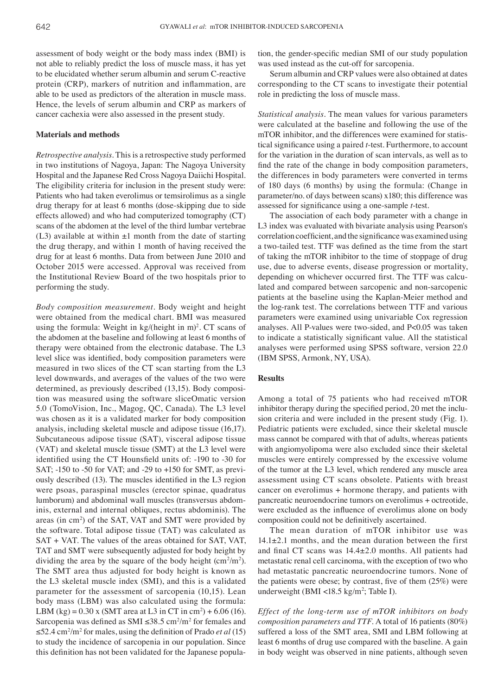assessment of body weight or the body mass index (BMI) is not able to reliably predict the loss of muscle mass, it has yet to be elucidated whether serum albumin and serum C-reactive protein (CRP), markers of nutrition and inflammation, are able to be used as predictors of the alteration in muscle mass. Hence, the levels of serum albumin and CRP as markers of cancer cachexia were also assessed in the present study.

## **Materials and methods**

*Retrospective analysis.* This is a retrospective study performed in two institutions of Nagoya, Japan: The Nagoya University Hospital and the Japanese Red Cross Nagoya Daiichi Hospital. The eligibility criteria for inclusion in the present study were: Patients who had taken everolimus or temsirolimus as a single drug therapy for at least 6 months (dose-skipping due to side effects allowed) and who had computerized tomography (CT) scans of the abdomen at the level of the third lumbar vertebrae (L3) available at within  $\pm 1$  month from the date of starting the drug therapy, and within 1 month of having received the drug for at least 6 months. Data from between June 2010 and October 2015 were accessed. Approval was received from the Institutional Review Board of the two hospitals prior to performing the study.

*Body composition measurement.* Body weight and height were obtained from the medical chart. BMI was measured using the formula: Weight in  $\text{kg/}$ (height in m)<sup>2</sup>. CT scans of the abdomen at the baseline and following at least 6 months of therapy were obtained from the electronic database. The L3 level slice was identified, body composition parameters were measured in two slices of the CT scan starting from the L3 level downwards, and averages of the values of the two were determined, as previously described (13,15). Body composition was measured using the software sliceOmatic version 5.0 (TomoVision, Inc., Magog, QC, Canada). The L3 level was chosen as it is a validated marker for body composition analysis, including skeletal muscle and adipose tissue (16,17). Subcutaneous adipose tissue (SAT), visceral adipose tissue (VAT) and skeletal muscle tissue (SMT) at the L3 level were identified using the CT Hounsfield units of: -190 to ‑30 for SAT; -150 to -50 for VAT; and -29 to +150 for SMT, as previously described (13). The muscles identified in the L3 region were psoas, paraspinal muscles (erector spinae, quadratus lumborum) and abdominal wall muscles (transversus abdominis, external and internal obliques, rectus abdominis). The areas (in cm<sup>2</sup>) of the SAT, VAT and SMT were provided by the software. Total adipose tissue (TAT) was calculated as SAT + VAT. The values of the areas obtained for SAT, VAT, TAT and SMT were subsequently adjusted for body height by dividing the area by the square of the body height  $\text{(cm}^2\text{/m}^2)$ . The SMT area thus adjusted for body height is known as the L3 skeletal muscle index (SMI), and this is a validated parameter for the assessment of sarcopenia (10,15). Lean body mass (LBM) was also calculated using the formula: LBM  $(kg) = 0.30$  x (SMT area at L3 in CT in cm<sup>2</sup>) + 6.06 (16). Sarcopenia was defined as SMI  $\leq 38.5$  cm<sup>2</sup>/m<sup>2</sup> for females and ≤52.4 cm<sup>2</sup> /m2 for males, using the definition of Prado *et al* (15) to study the incidence of sarcopenia in our population. Since this definition has not been validated for the Japanese popula-

tion, the gender‑specific median SMI of our study population was used instead as the cut-off for sarcopenia.

Serum albumin and CRP values were also obtained at dates corresponding to the CT scans to investigate their potential role in predicting the loss of muscle mass.

*Statistical analysis.* The mean values for various parameters were calculated at the baseline and following the use of the mTOR inhibitor, and the differences were examined for statistical significance using a paired *t*‑test. Furthermore, to account for the variation in the duration of scan intervals, as well as to find the rate of the change in body composition parameters, the differences in body parameters were converted in terms of 180 days (6 months) by using the formula: (Change in parameter/no. of days between scans) x180; this difference was assessed for significance using a one‑sample *t*-test.

The association of each body parameter with a change in L3 index was evaluated with bivariate analysis using Pearson's correlation coefficient, and the significance was examined using a two-tailed test. TTF was defined as the time from the start of taking the mTOR inhibitor to the time of stoppage of drug use, due to adverse events, disease progression or mortality, depending on whichever occurred first. The TTF was calculated and compared between sarcopenic and non-sarcopenic patients at the baseline using the Kaplan-Meier method and the log-rank test. The correlations between TTF and various parameters were examined using univariable Cox regression analyses. All P-values were two-sided, and P<0.05 was taken to indicate a statistically significant value. All the statistical analyses were performed using SPSS software, version 22.0 (IBM SPSS, Armonk, NY, USA).

# **Results**

Among a total of 75 patients who had received mTOR inhibitor therapy during the specified period, 20 met the inclusion criteria and were included in the present study (Fig. 1). Pediatric patients were excluded, since their skeletal muscle mass cannot be compared with that of adults, whereas patients with angiomyolipoma were also excluded since their skeletal muscles were entirely compressed by the excessive volume of the tumor at the L3 level, which rendered any muscle area assessment using CT scans obsolete. Patients with breast cancer on everolimus + hormone therapy, and patients with pancreatic neuroendocrine tumors on everolimus + octreotide, were excluded as the influence of everolimus alone on body composition could not be definitively ascertained.

The mean duration of mTOR inhibitor use was  $14.1\pm2.1$  months, and the mean duration between the first and final CT scans was 14.4±2.0 months. All patients had metastatic renal cell carcinoma, with the exception of two who had metastatic pancreatic neuroendocrine tumors. None of the patients were obese; by contrast, five of them (25%) were underweight (BMI <18.5 kg/m<sup>2</sup>; Table I).

*Effect of the long‑term use of mTOR inhibitors on body composition parameters and TTF.* A total of 16 patients (80%) suffered a loss of the SMT area, SMI and LBM following at least 6 months of drug use compared with the baseline. A gain in body weight was observed in nine patients, although seven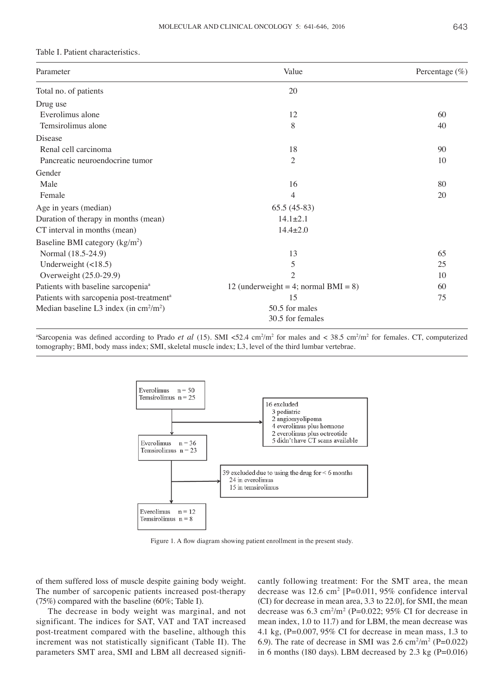#### Table I. Patient characteristics.

| Parameter                                               | Value                                   | Percentage $(\%)$ |
|---------------------------------------------------------|-----------------------------------------|-------------------|
| Total no. of patients                                   | 20                                      |                   |
| Drug use                                                |                                         |                   |
| Everolimus alone                                        | 12                                      | 60                |
| Temsirolimus alone                                      | 8                                       | 40                |
| Disease                                                 |                                         |                   |
| Renal cell carcinoma                                    | 18                                      | 90                |
| Pancreatic neuroendocrine tumor                         | $\overline{c}$                          | 10                |
| Gender                                                  |                                         |                   |
| Male                                                    | 16                                      | 80                |
| Female                                                  | 4                                       | 20                |
| Age in years (median)                                   | $65.5(45-83)$                           |                   |
| Duration of therapy in months (mean)                    | $14.1 \pm 2.1$                          |                   |
| CT interval in months (mean)                            | $14.4 \pm 2.0$                          |                   |
| Baseline BMI category $(kg/m2)$                         |                                         |                   |
| Normal (18.5-24.9)                                      | 13                                      | 65                |
| Underweight $(\leq 18.5)$                               | 5                                       | 25                |
| Overweight (25.0-29.9)                                  | $\mathfrak{2}$                          | 10                |
| Patients with baseline sarcopenia <sup>a</sup>          | 12 (underweight = 4; normal $BMI = 8$ ) | 60                |
| Patients with sarcopenia post-treatment <sup>a</sup>    | 15                                      | 75                |
| Median baseline L3 index (in $\text{cm}^2/\text{m}^2$ ) | 50.5 for males                          |                   |
|                                                         | 30.5 for females                        |                   |

 $^{\circ}$ Sarcopenia was defined according to Prado *et al* (15). SMI <52.4 cm<sup>2</sup>/m<sup>2</sup> for males and < 38.5 cm<sup>2</sup>/m<sup>2</sup> for females. CT, computerized tomography; BMI, body mass index; SMI, skeletal muscle index; L3, level of the third lumbar vertebrae.



Figure 1. A flow diagram showing patient enrollment in the present study.

of them suffered loss of muscle despite gaining body weight. The number of sarcopenic patients increased post-therapy (75%) compared with the baseline (60%; Table I).

The decrease in body weight was marginal, and not significant. The indices for SAT, VAT and TAT increased post-treatment compared with the baseline, although this increment was not statistically significant (Table II). The parameters SMT area, SMI and LBM all decreased significantly following treatment: For the SMT area, the mean decrease was  $12.6 \text{ cm}^2$  [P=0.011, 95% confidence interval (CI) for decrease in mean area, 3.3 to 22.0], for SMI, the mean decrease was  $6.3 \text{ cm}^2/\text{m}^2$  (P=0.022; 95% CI for decrease in mean index, 1.0 to 11.7) and for LBM, the mean decrease was 4.1 kg, (P=0.007, 95% CI for decrease in mean mass, 1.3 to 6.9). The rate of decrease in SMI was  $2.6 \text{ cm}^2/\text{m}^2$  (P=0.022) in 6 months (180 days). LBM decreased by  $2.3 \text{ kg}$  (P=0.016)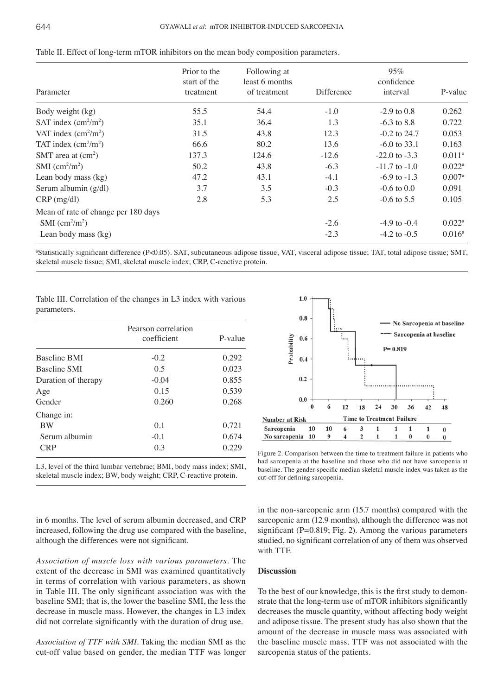|                                      | Prior to the<br>start of the | Following at<br>least 6 months |            | 95%<br>confidence |                      |
|--------------------------------------|------------------------------|--------------------------------|------------|-------------------|----------------------|
| Parameter                            | treatment                    | of treatment                   | Difference | interval          | P-value              |
| Body weight (kg)                     | 55.5                         | 54.4                           | $-1.0$     | $-2.9$ to 0.8     | 0.262                |
| SAT index $\text{(cm}^2/\text{m}^2)$ | 35.1                         | 36.4                           | 1.3        | $-6.3$ to 8.8     | 0.722                |
| VAT index $\text{cm}^2/\text{m}^2$ ) | 31.5                         | 43.8                           | 12.3       | $-0.2$ to 24.7    | 0.053                |
| TAT index $(cm2/m2)$                 | 66.6                         | 80.2                           | 13.6       | $-6.0$ to 33.1    | 0.163                |
| SMT area at $(cm2)$                  | 137.3                        | 124.6                          | $-12.6$    | $-22.0$ to $-3.3$ | $0.011^{\rm a}$      |
| SMI $\text{(cm}^2\text{/m}^2)$       | 50.2                         | 43.8                           | $-6.3$     | $-11.7$ to $-1.0$ | $0.022^{\rm a}$      |
| Lean body mass (kg)                  | 47.2                         | 43.1                           | $-4.1$     | $-6.9$ to $-1.3$  | $0.007$ <sup>a</sup> |
| Serum albumin (g/dl)                 | 3.7                          | 3.5                            | $-0.3$     | $-0.6$ to $0.0$   | 0.091                |
| $CRP$ (mg/dl)                        | 2.8                          | 5.3                            | 2.5        | $-0.6$ to 5.5     | 0.105                |
| Mean of rate of change per 180 days  |                              |                                |            |                   |                      |
| SMI $\text{(cm}^2/\text{m}^2)$       |                              |                                | $-2.6$     | $-4.9$ to $-0.4$  | $0.022^{\rm a}$      |
| Lean body mass (kg)                  |                              |                                | $-2.3$     | $-4.2$ to $-0.5$  | $0.016^{\rm a}$      |

| Table II. Effect of long-term mTOR inhibitors on the mean body composition parameters. |  |
|----------------------------------------------------------------------------------------|--|
|----------------------------------------------------------------------------------------|--|

a Statistically significant difference (P<0.05). SAT, subcutaneous adipose tissue, VAT, visceral adipose tissue; TAT, total adipose tissue; SMT, skeletal muscle tissue; SMI, skeletal muscle index; CRP, C-reactive protein.

Table III. Correlation of the changes in L3 index with various parameters.

| Pearson correlation<br>coefficient | P-value |
|------------------------------------|---------|
| $-0.2$                             | 0.292   |
| 0.5                                | 0.023   |
| $-0.04$                            | 0.855   |
| 0.15                               | 0.539   |
| 0.260                              | 0.268   |
|                                    |         |
| 0.1                                | 0.721   |
| $-0.1$                             | 0.674   |
| 0.3                                | 0.229   |
|                                    |         |

L3, level of the third lumbar vertebrae; BMI, body mass index; SMI, skeletal muscle index; BW, body weight; CRP, C-reactive protein.

in 6 months. The level of serum albumin decreased, and CRP increased, following the drug use compared with the baseline, although the differences were not significant.

*Association of muscle loss with various parameters.* The extent of the decrease in SMI was examined quantitatively in terms of correlation with various parameters, as shown in Table III. The only significant association was with the baseline SMI; that is, the lower the baseline SMI, the less the decrease in muscle mass. However, the changes in L3 index did not correlate significantly with the duration of drug use.

*Association of TTF with SMI.* Taking the median SMI as the cut‑off value based on gender, the median TTF was longer



Figure 2. Comparison between the time to treatment failure in patients who had sarcopenia at the baseline and those who did not have sarcopenia at baseline. The gender‑specific median skeletal muscle index was taken as the cut‑off for defining sarcopenia.

in the non-sarcopenic arm (15.7 months) compared with the sarcopenic arm (12.9 months), although the difference was not significant (P=0.819; Fig. 2). Among the various parameters studied, no significant correlation of any of them was observed with TTF.

## **Discussion**

To the best of our knowledge, this is the first study to demonstrate that the long-term use of mTOR inhibitors significantly decreases the muscle quantity, without affecting body weight and adipose tissue. The present study has also shown that the amount of the decrease in muscle mass was associated with the baseline muscle mass. TTF was not associated with the sarcopenia status of the patients.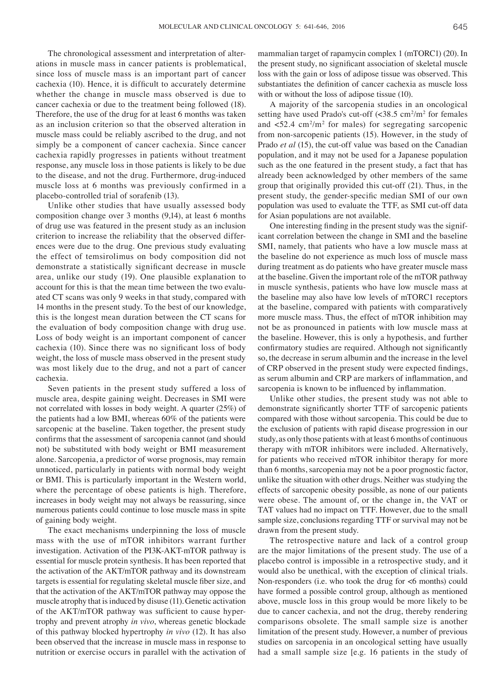The chronological assessment and interpretation of alterations in muscle mass in cancer patients is problematical, since loss of muscle mass is an important part of cancer cachexia (10). Hence, it is difficult to accurately determine whether the change in muscle mass observed is due to cancer cachexia or due to the treatment being followed (18). Therefore, the use of the drug for at least 6 months was taken as an inclusion criterion so that the observed alteration in muscle mass could be reliably ascribed to the drug, and not simply be a component of cancer cachexia. Since cancer cachexia rapidly progresses in patients without treatment response, any muscle loss in those patients is likely to be due to the disease, and not the drug. Furthermore, drug-induced muscle loss at 6 months was previously confirmed in a placebo-controlled trial of sorafenib (13).

Unlike other studies that have usually assessed body composition change over 3 months (9,14), at least 6 months of drug use was featured in the present study as an inclusion criterion to increase the reliability that the observed differences were due to the drug. One previous study evaluating the effect of temsirolimus on body composition did not demonstrate a statistically significant decrease in muscle area, unlike our study (19). One plausible explanation to account for this is that the mean time between the two evaluated CT scans was only 9 weeks in that study, compared with 14 months in the present study. To the best of our knowledge, this is the longest mean duration between the CT scans for the evaluation of body composition change with drug use. Loss of body weight is an important component of cancer cachexia (10). Since there was no significant loss of body weight, the loss of muscle mass observed in the present study was most likely due to the drug, and not a part of cancer cachexia.

Seven patients in the present study suffered a loss of muscle area, despite gaining weight. Decreases in SMI were not correlated with losses in body weight. A quarter (25%) of the patients had a low BMI, whereas 60% of the patients were sarcopenic at the baseline. Taken together, the present study confirms that the assessment of sarcopenia cannot (and should not) be substituted with body weight or BMI measurement alone. Sarcopenia, a predictor of worse prognosis, may remain unnoticed, particularly in patients with normal body weight or BMI. This is particularly important in the Western world, where the percentage of obese patients is high. Therefore, increases in body weight may not always be reassuring, since numerous patients could continue to lose muscle mass in spite of gaining body weight.

The exact mechanisms underpinning the loss of muscle mass with the use of mTOR inhibitors warrant further investigation. Activation of the PI3K-AKT-mTOR pathway is essential for muscle protein synthesis. It has been reported that the activation of the AKT/mTOR pathway and its downstream targets is essential for regulating skeletal muscle fiber size, and that the activation of the AKT/mTOR pathway may oppose the muscle atrophy that is induced by disuse (11). Genetic activation of the AKT/mTOR pathway was sufficient to cause hypertrophy and prevent atrophy *in vivo*, whereas genetic blockade of this pathway blocked hypertrophy *in vivo* (12). It has also been observed that the increase in muscle mass in response to nutrition or exercise occurs in parallel with the activation of

mammalian target of rapamycin complex 1 (mTORC1) (20). In the present study, no significant association of skeletal muscle loss with the gain or loss of adipose tissue was observed. This substantiates the definition of cancer cachexia as muscle loss with or without the loss of adipose tissue (10).

A majority of the sarcopenia studies in an oncological setting have used Prado's cut-off  $\left(\frac{38.5 \text{ cm}^2}{\text{m}^2 \text{}}\right)$  for females and  $\langle 52.4 \text{ cm}^2/\text{m}^2$  for males) for segregating sarcopenic from non-sarcopenic patients (15). However, in the study of Prado *et al* (15), the cut-off value was based on the Canadian population, and it may not be used for a Japanese population such as the one featured in the present study, a fact that has already been acknowledged by other members of the same group that originally provided this cut-off (21). Thus, in the present study, the gender‑specific median SMI of our own population was used to evaluate the TTF, as SMI cut-off data for Asian populations are not available.

One interesting finding in the present study was the significant correlation between the change in SMI and the baseline SMI, namely, that patients who have a low muscle mass at the baseline do not experience as much loss of muscle mass during treatment as do patients who have greater muscle mass at the baseline. Given the important role of the mTOR pathway in muscle synthesis, patients who have low muscle mass at the baseline may also have low levels of mTORC1 receptors at the baseline, compared with patients with comparatively more muscle mass. Thus, the effect of mTOR inhibition may not be as pronounced in patients with low muscle mass at the baseline. However, this is only a hypothesis, and further confirmatory studies are required. Although not significantly so, the decrease in serum albumin and the increase in the level of CRP observed in the present study were expected findings, as serum albumin and CRP are markers of inflammation, and sarcopenia is known to be influenced by inflammation.

Unlike other studies, the present study was not able to demonstrate significantly shorter TTF of sarcopenic patients compared with those without sarcopenia. This could be due to the exclusion of patients with rapid disease progression in our study, as only those patients with at least 6 months of continuous therapy with mTOR inhibitors were included. Alternatively, for patients who received mTOR inhibitor therapy for more than 6 months, sarcopenia may not be a poor prognostic factor, unlike the situation with other drugs. Neither was studying the effects of sarcopenic obesity possible, as none of our patients were obese. The amount of, or the change in, the VAT or TAT values had no impact on TTF. However, due to the small sample size, conclusions regarding TTF or survival may not be drawn from the present study.

The retrospective nature and lack of a control group are the major limitations of the present study. The use of a placebo control is impossible in a retrospective study, and it would also be unethical, with the exception of clinical trials. Non-responders (i.e. who took the drug for <6 months) could have formed a possible control group, although as mentioned above, muscle loss in this group would be more likely to be due to cancer cachexia, and not the drug, thereby rendering comparisons obsolete. The small sample size is another limitation of the present study. However, a number of previous studies on sarcopenia in an oncological setting have usually had a small sample size [e.g. 16 patients in the study of